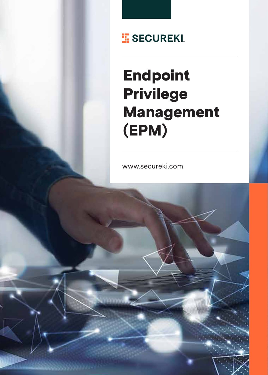

# Endpoint Privilege Management (EPM)

www.secureki.com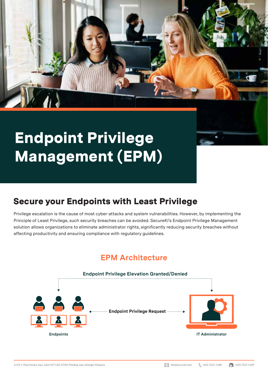

# Endpoint Privilege Management (EPM)

## Secure your Endpoints with Least Privilege

Privilege escalation is the cause of most cyber-attacks and system vulnerabilities. However, by implementing the Principle of Least Privilege, such security breaches can be avoided. SecureKi's Endpoint Privilege Management solution allows organizations to eliminate administrator rights, significantly reducing security breaches without affecting productivity and ensuring compliance with regulatory guidelines.

## **EPM Architecture**